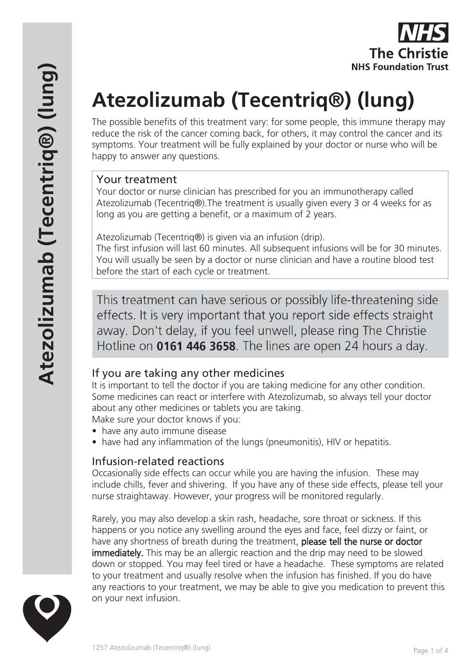

# **Atezolizumab (Tecentriq®) (lung)**

The possible benefits of this treatment vary: for some people, this immune therapy may reduce the risk of the cancer coming back, for others, it may control the cancer and its symptoms. Your treatment will be fully explained by your doctor or nurse who will be happy to answer any questions.

#### Your treatment

Your doctor or nurse clinician has prescribed for you an immunotherapy called Atezolizumab (Tecentriq®).The treatment is usually given every 3 or 4 weeks for as long as you are getting a benefit, or a maximum of 2 years.

Atezolizumab (Tecentriq®) is given via an infusion (drip).

The first infusion will last 60 minutes. All subsequent infusions will be for 30 minutes. You will usually be seen by a doctor or nurse clinician and have a routine blood test before the start of each cycle or treatment.

This treatment can have serious or possibly life-threatening side effects. It is very important that you report side effects straight away. Don't delay, if you feel unwell, please ring The Christie Hotline on 0161 446 3658. The lines are open 24 hours a day.

# If you are taking any other medicines

It is important to tell the doctor if you are taking medicine for any other condition. Some medicines can react or interfere with Atezolizumab, so always tell your doctor about any other medicines or tablets you are taking.

Make sure your doctor knows if you:

- have any auto immune disease
- have had any inflammation of the lungs (pneumonitis), HIV or hepatitis.

# Infusion-related reactions

Occasionally side effects can occur while you are having the infusion. These may include chills, fever and shivering. If you have any of these side effects, please tell your nurse straightaway. However, your progress will be monitored regularly.

Rarely, you may also develop a skin rash, headache, sore throat or sickness. If this happens or you notice any swelling around the eyes and face, feel dizzy or faint, or have any shortness of breath during the treatment, please tell the nurse or doctor immediately. This may be an allergic reaction and the drip may need to be slowed down or stopped. You may feel tired or have a headache. These symptoms are related to your treatment and usually resolve when the infusion has finished. If you do have any reactions to your treatment, we may be able to give you medication to prevent this on your next infusion.

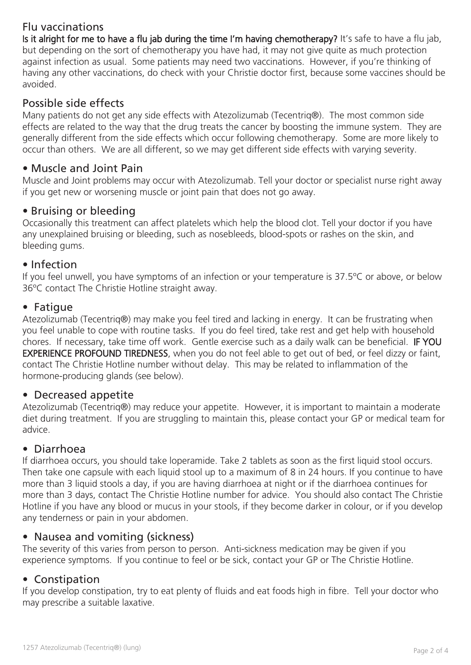# Flu vaccinations

Is it alright for me to have a flu jab during the time I'm having chemotherapy? It's safe to have a flu jab, but depending on the sort of chemotherapy you have had, it may not give quite as much protection against infection as usual. Some patients may need two vaccinations. However, if you're thinking of having any other vaccinations, do check with your Christie doctor first, because some vaccines should be avoided.

# Possible side effects

Many patients do not get any side effects with Atezolizumab (Tecentriq®). The most common side effects are related to the way that the drug treats the cancer by boosting the immune system. They are generally different from the side effects which occur following chemotherapy. Some are more likely to occur than others. We are all different, so we may get different side effects with varying severity.

## • Muscle and Joint Pain

Muscle and Joint problems may occur with Atezolizumab. Tell your doctor or specialist nurse right away if you get new or worsening muscle or joint pain that does not go away.

## • Bruising or bleeding

Occasionally this treatment can affect platelets which help the blood clot. Tell your doctor if you have any unexplained bruising or bleeding, such as nosebleeds, blood-spots or rashes on the skin, and bleeding gums.

#### • Infection

If you feel unwell, you have symptoms of an infection or your temperature is 37.5ºC or above, or below 36ºC contact The Christie Hotline straight away.

#### • Fatigue

Atezolizumab (Tecentriq®) may make you feel tired and lacking in energy. It can be frustrating when you feel unable to cope with routine tasks. If you do feel tired, take rest and get help with household chores. If necessary, take time off work. Gentle exercise such as a daily walk can be beneficial. IF YOU EXPERIENCE PROFOUND TIREDNESS, when you do not feel able to get out of bed, or feel dizzy or faint, contact The Christie Hotline number without delay. This may be related to inflammation of the hormone-producing glands (see below).

#### • Decreased appetite

Atezolizumab (Tecentriq®) may reduce your appetite. However, it is important to maintain a moderate diet during treatment. If you are struggling to maintain this, please contact your GP or medical team for advice.

#### • Diarrhoea

If diarrhoea occurs, you should take loperamide. Take 2 tablets as soon as the first liquid stool occurs. Then take one capsule with each liquid stool up to a maximum of 8 in 24 hours. If you continue to have more than 3 liquid stools a day, if you are having diarrhoea at night or if the diarrhoea continues for more than 3 days, contact The Christie Hotline number for advice. You should also contact The Christie Hotline if you have any blood or mucus in your stools, if they become darker in colour, or if you develop any tenderness or pain in your abdomen.

## • Nausea and vomiting (sickness)

The severity of this varies from person to person. Anti-sickness medication may be given if you experience symptoms. If you continue to feel or be sick, contact your GP or The Christie Hotline.

## • Constipation

If you develop constipation, try to eat plenty of fluids and eat foods high in fibre. Tell your doctor who may prescribe a suitable laxative.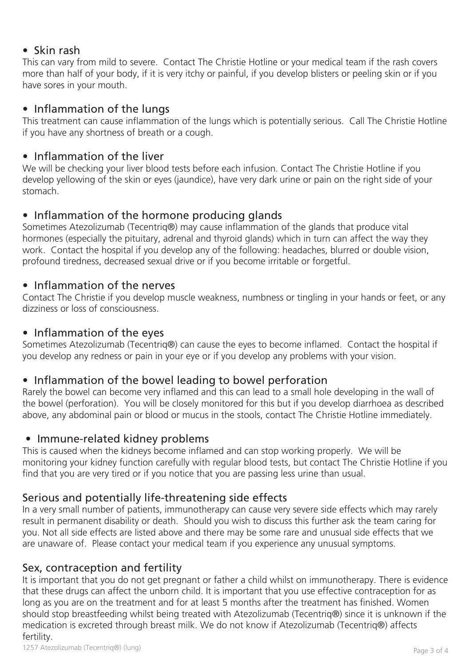## • Skin rash

This can vary from mild to severe. Contact The Christie Hotline or your medical team if the rash covers more than half of your body, if it is very itchy or painful, if you develop blisters or peeling skin or if you have sores in your mouth.

## • Inflammation of the lungs

This treatment can cause inflammation of the lungs which is potentially serious. Call The Christie Hotline if you have any shortness of breath or a cough.

## • Inflammation of the liver

We will be checking your liver blood tests before each infusion. Contact The Christie Hotline if you develop yellowing of the skin or eyes (jaundice), have very dark urine or pain on the right side of your stomach.

# • Inflammation of the hormone producing glands

Sometimes Atezolizumab (Tecentriq®) may cause inflammation of the glands that produce vital hormones (especially the pituitary, adrenal and thyroid glands) which in turn can affect the way they work. Contact the hospital if you develop any of the following: headaches, blurred or double vision, profound tiredness, decreased sexual drive or if you become irritable or forgetful.

# • Inflammation of the nerves

Contact The Christie if you develop muscle weakness, numbness or tingling in your hands or feet, or any dizziness or loss of consciousness.

## • Inflammation of the eyes

Sometimes Atezolizumab (Tecentriq®) can cause the eyes to become inflamed. Contact the hospital if you develop any redness or pain in your eye or if you develop any problems with your vision.

# • Inflammation of the bowel leading to bowel perforation

Rarely the bowel can become very inflamed and this can lead to a small hole developing in the wall of the bowel (perforation). You will be closely monitored for this but if you develop diarrhoea as described above, any abdominal pain or blood or mucus in the stools, contact The Christie Hotline immediately.

# • Immune-related kidney problems

This is caused when the kidneys become inflamed and can stop working properly. We will be monitoring your kidney function carefully with regular blood tests, but contact The Christie Hotline if you find that you are very tired or if you notice that you are passing less urine than usual.

# Serious and potentially life-threatening side effects

In a very small number of patients, immunotherapy can cause very severe side effects which may rarely result in permanent disability or death. Should you wish to discuss this further ask the team caring for you. Not all side effects are listed above and there may be some rare and unusual side effects that we are unaware of. Please contact your medical team if you experience any unusual symptoms.

# Sex, contraception and fertility

It is important that you do not get pregnant or father a child whilst on immunotherapy. There is evidence that these drugs can affect the unborn child. It is important that you use effective contraception for as long as you are on the treatment and for at least 5 months after the treatment has finished. Women should stop breastfeeding whilst being treated with Atezolizumab (Tecentriq®) since it is unknown if the medication is excreted through breast milk. We do not know if Atezolizumab (Tecentriq®) affects fertility.